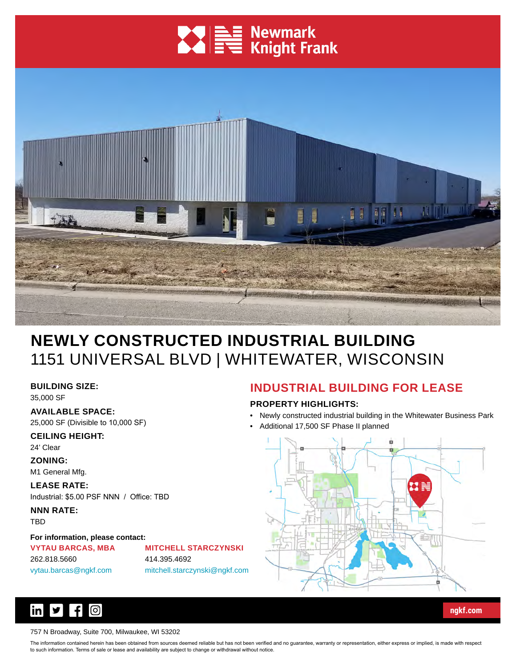# **XVI DE Newmark**<br> **XVI DE Knight Frank**



# **NEWLY CONSTRUCTED INDUSTRIAL BUILDING** 1151 UNIVERSAL BLVD | WHITEWATER, WISCONSIN

**BUILDING SIZE:**

35,000 SF

#### **AVAILABLE SPACE:**

25,000 SF (Divisible to 10,000 SF)

**CEILING HEIGHT:**

24' Clear

**ZONING:**

M1 General Mfg.

**LEASE RATE:** Industrial: \$5.00 PSF NNN / Office: TBD

**NNN RATE:** TBD

#### **For information, please contact:**

**VYTAU BARCAS, MBA** 262.818.5660 vytau.barcas@ngkf.com

**MITCHELL STARCZYNSKI** 414.395.4692 mitchell.starczynski@ngkf.com

## **INDUSTRIAL BUILDING FOR LEASE**

#### **PROPERTY HIGHLIGHTS:**

- Newly constructed industrial building in the Whitewater Business Park
- Additional 17,500 SF Phase II planned



**[ngkf.com](http://www.ngkf.com/)**



#### 757 N Broadway, Suite 700, Milwaukee, WI 53202

The information contained herein has been obtained from sources deemed reliable but has not been verified and no guarantee, warranty or representation, either express or implied, is made with respect to such information. Terms of sale or lease and availability are subject to change or withdrawal without notice.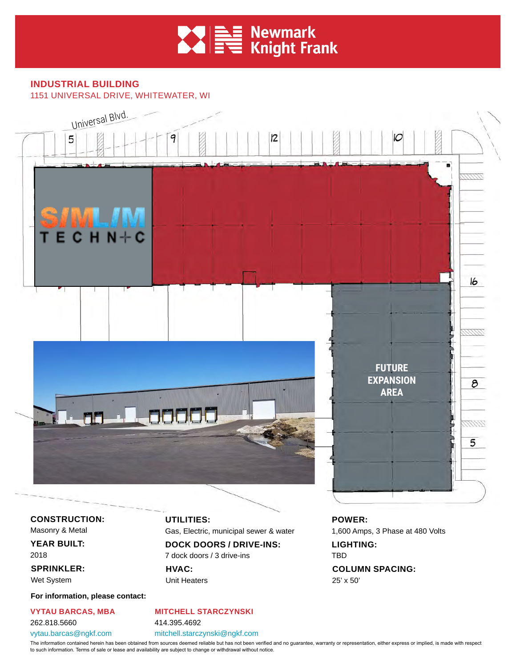

**INDUSTRIAL BUILDING** 1151 UNIVERSAL DRIVE, WHITEWATER, WI



**CONSTRUCTION:** Masonry & Metal

**YEAR BUILT:**

2018 **SPRINKLER:**

Wet System

**For information, please contact:**

**VYTAU BARCAS, MBA** 262.818.5660 vytau.barcas@ngkf.com

**UTILITIES:**

Gas, Electric, municipal sewer & water

**DOCK DOORS / DRIVE-INS:** 7 dock doors / 3 drive-ins

**HVAC:** Unit Heaters **POWER:**  1,600 Amps, 3 Phase at 480 Volts **LIGHTING:** TBD

**COLUMN SPACING:** 25' x 50'

414.395.4692

mitchell.starczynski@ngkf.com

**MITCHELL STARCZYNSKI**

The information contained herein has been obtained from sources deemed reliable but has not been verified and no guarantee, warranty or representation, either express or implied, is made with respect to such information. Terms of sale or lease and availability are subject to change or withdrawal without notice.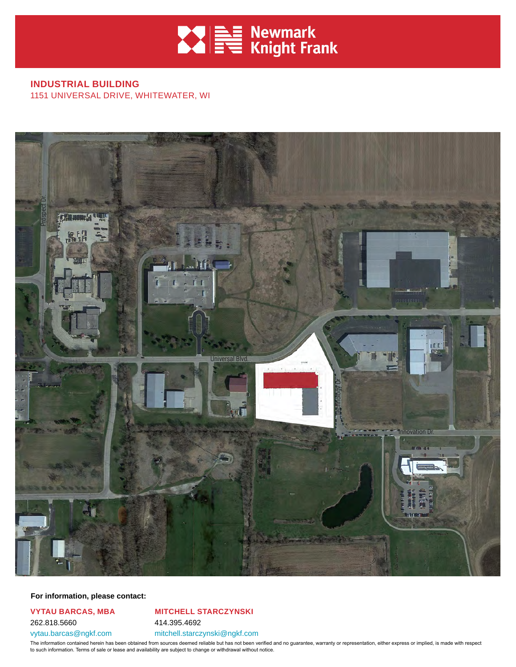

#### **INDUSTRIAL BUILDING** 1151 UNIVERSAL DRIVE, WHITEWATER, WI



#### **For information, please contact:**

#### **VYTAU BARCAS, MBA** 262.818.5660 vytau.barcas@ngkf.com

**MITCHELL STARCZYNSKI** 414.395.4692 mitchell.starczynski@ngkf.com

The information contained herein has been obtained from sources deemed reliable but has not been verified and no guarantee, warranty or representation, either express or implied, is made with respect to such information. Terms of sale or lease and availability are subject to change or withdrawal without notice.